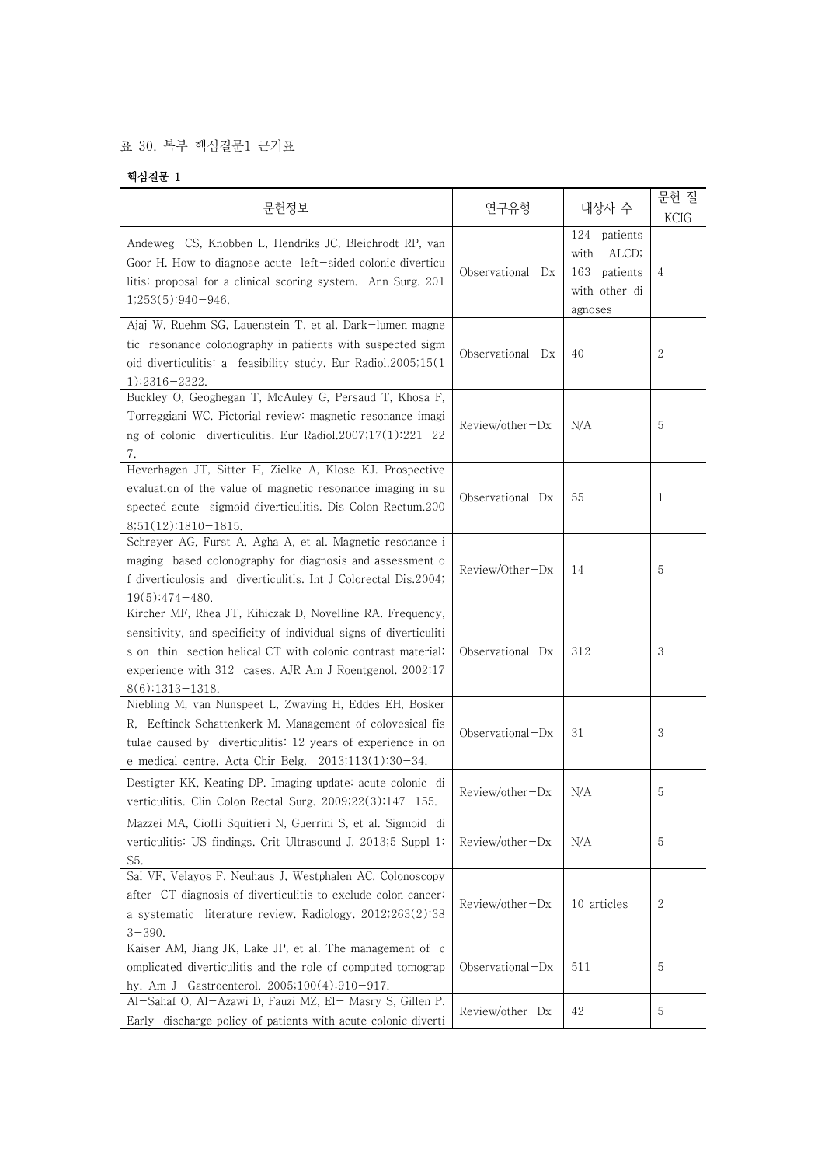## 표 30. 복부 핵심질문1 근거표

## 핵심질문 1

| 문헌정보                                                                                                                                                                                                                                                                           | 연구유형             | 대상자 수                                                                     | 문헌 질<br><b>KCIG</b> |  |
|--------------------------------------------------------------------------------------------------------------------------------------------------------------------------------------------------------------------------------------------------------------------------------|------------------|---------------------------------------------------------------------------|---------------------|--|
| Andeweg CS, Knobben L, Hendriks JC, Bleichrodt RP, van<br>Goor H. How to diagnose acute left-sided colonic diverticu<br>litis: proposal for a clinical scoring system. Ann Surg. 201<br>$1;253(5):940-946.$                                                                    | Observational Dx | 124 patients<br>with<br>ALCD;<br>163 patients<br>with other di<br>agnoses | 4                   |  |
| Ajaj W, Ruehm SG, Lauenstein T, et al. Dark-lumen magne<br>tic resonance colonography in patients with suspected sigm<br>oid diverticulitis: a feasibility study. Eur Radiol.2005;15(1)<br>$1):2316 - 2322.$                                                                   | Observational Dx | 40                                                                        | 2                   |  |
| Buckley O, Geoghegan T, McAuley G, Persaud T, Khosa F,<br>Torreggiani WC. Pictorial review: magnetic resonance imagi<br>ng of colonic diverticulitis. Eur Radiol.2007;17(1):221-22<br>7.                                                                                       | Review/other-Dx  | N/A                                                                       | 5                   |  |
| Heverhagen JT, Sitter H, Zielke A, Klose KJ. Prospective<br>evaluation of the value of magnetic resonance imaging in su<br>spected acute sigmoid diverticulitis. Dis Colon Rectum.200<br>$8;51(12):1810-1815.$                                                                 | Observational-Dx | 55                                                                        | 1                   |  |
| Schreyer AG, Furst A, Agha A, et al. Magnetic resonance i<br>maging based colonography for diagnosis and assessment o<br>f diverticulosis and diverticulitis. Int J Colorectal Dis.2004;<br>$19(5):474-480.$                                                                   | Review/Other-Dx  | 14                                                                        | 5                   |  |
| Kircher MF, Rhea JT, Kihiczak D, Novelline RA. Frequency,<br>sensitivity, and specificity of individual signs of diverticuliti<br>s on thin-section helical CT with colonic contrast material:<br>experience with 312 cases. AJR Am J Roentgenol. 2002;17<br>$8(6):1313-1318.$ | Observational-Dx | 312                                                                       | 3                   |  |
| Niebling M, van Nunspeet L, Zwaving H, Eddes EH, Bosker<br>R, Eeftinck Schattenkerk M. Management of colovesical fis<br>tulae caused by diverticulitis: 12 years of experience in on<br>e medical centre. Acta Chir Belg. $2013;113(1):30-34$ .                                | Observational-Dx | 31                                                                        | 3                   |  |
| Destigter KK, Keating DP. Imaging update: acute colonic di<br>verticulitis. Clin Colon Rectal Surg. 2009;22(3):147-155.                                                                                                                                                        | Review/other-Dx  | N/A                                                                       | 5                   |  |
| Mazzei MA, Cioffi Squitieri N, Guerrini S, et al. Sigmoid di<br>verticulitis: US findings. Crit Ultrasound J. 2013;5 Suppl 1:<br>S5.                                                                                                                                           | Review/other-Dx  | N/A                                                                       | 5                   |  |
| Sai VF, Velayos F, Neuhaus J, Westphalen AC. Colonoscopy<br>after CT diagnosis of diverticulitis to exclude colon cancer:<br>a systematic literature review. Radiology. 2012;263(2):38<br>$3 - 390.$                                                                           | Review/other-Dx  | 10 articles                                                               | 2                   |  |
| Kaiser AM, Jiang JK, Lake JP, et al. The management of c<br>omplicated diverticulitis and the role of computed tomograp<br>hy. Am J Gastroenterol. 2005;100(4):910-917.                                                                                                        | Observational-Dx | 511                                                                       | 5                   |  |
| Al-Sahaf O, Al-Azawi D, Fauzi MZ, El- Masry S, Gillen P.<br>Early discharge policy of patients with acute colonic diverti                                                                                                                                                      | Review/other-Dx  | 42                                                                        | 5                   |  |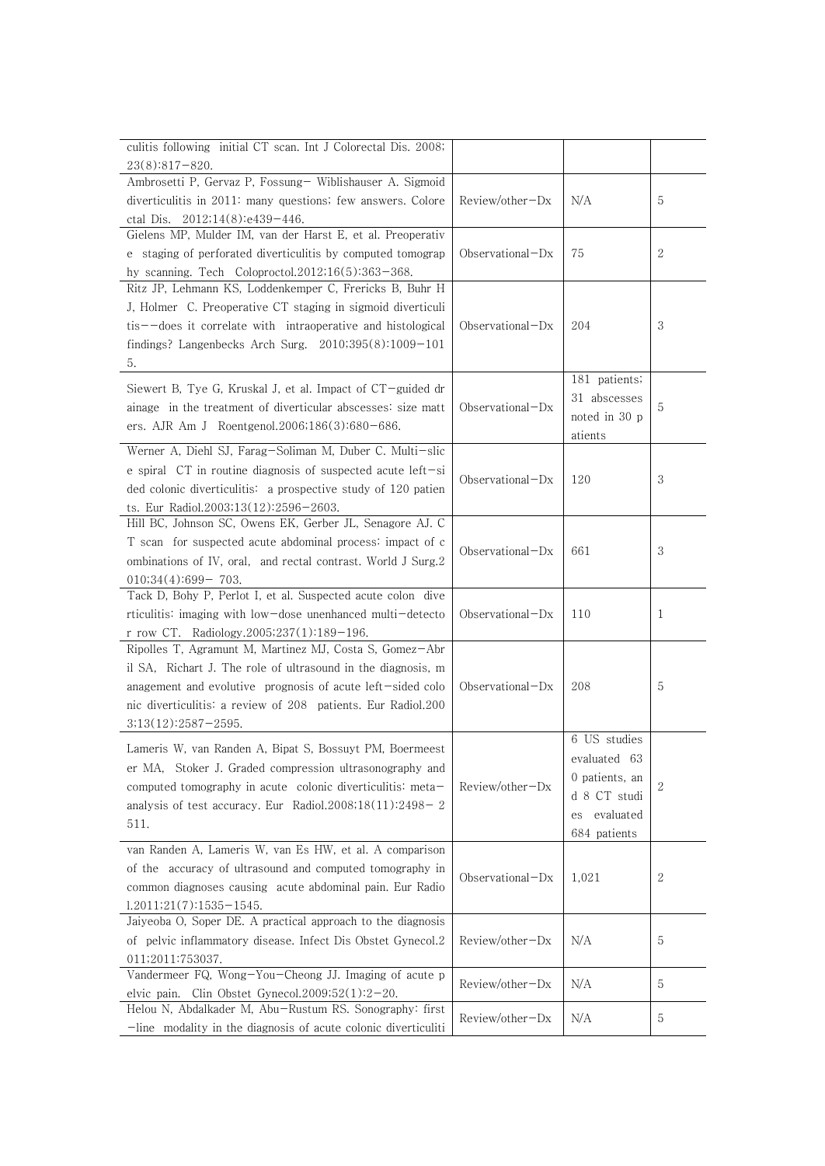| culitis following initial CT scan. Int J Colorectal Dis. 2008;                           |                     |                 |              |
|------------------------------------------------------------------------------------------|---------------------|-----------------|--------------|
| $23(8):817-820.$                                                                         |                     |                 |              |
| Ambrosetti P, Gervaz P, Fossung- Wiblishauser A. Sigmoid                                 |                     |                 |              |
| diverticulitis in 2011: many questions; few answers. Colore                              | $Review/other-Dx$   | N/A             | 5            |
| ctal Dis. 2012;14(8):e439-446.                                                           |                     |                 |              |
| Gielens MP, Mulder IM, van der Harst E, et al. Preoperativ                               |                     |                 |              |
| e staging of perforated diverticulitis by computed tomograp                              | Observational $-Dx$ | 75              | 2            |
| hy scanning. Tech Coloproctol.2012;16(5):363-368.                                        |                     |                 |              |
| Ritz JP, Lehmann KS, Loddenkemper C, Frericks B, Buhr H                                  |                     |                 |              |
| J, Holmer C. Preoperative CT staging in sigmoid diverticuli                              | $Observational-Dx$  |                 |              |
| $t$ is $-\text{does it correlate with}$ intrapperative and histological                  |                     | 204             | 3            |
| findings? Langenbecks Arch Surg. $2010;395(8):1009-101$                                  |                     |                 |              |
| 5.                                                                                       |                     | 181 patients;   |              |
| Siewert B, Tye G, Kruskal J, et al. Impact of CT-guided dr                               |                     | 31 abscesses    |              |
| ainage in the treatment of diverticular abscesses: size matt                             | Observational-Dx    | noted in 30 p   | 5            |
| ers. AJR Am J Roentgenol.2006;186(3):680-686.                                            |                     | atients         |              |
| Werner A, Diehl SJ, Farag-Soliman M, Duber C. Multi-slic                                 |                     |                 |              |
| e spiral CT in routine diagnosis of suspected acute left-si                              |                     |                 |              |
| ded colonic diverticulitis: a prospective study of 120 patien                            | $Observational-Dx$  | 120             | 3            |
| ts. Eur Radiol.2003;13(12):2596-2603.                                                    |                     |                 |              |
| Hill BC, Johnson SC, Owens EK, Gerber JL, Senagore AJ. C                                 |                     |                 |              |
| T scan for suspected acute abdominal process: impact of c                                |                     |                 |              |
| ombinations of IV, oral, and rectal contrast. World J Surg.2                             | Observational-Dx    | 661             | 3            |
| $010;34(4):699-703.$                                                                     |                     |                 |              |
| Tack D, Bohy P, Perlot I, et al. Suspected acute colon dive                              |                     |                 |              |
| rticulitis: imaging with low-dose unenhanced multi-detecto                               | Observational-Dx    | 110             | 1            |
| r row CT. Radiology.2005;237(1):189-196.                                                 |                     |                 |              |
| Ripolles T, Agramunt M, Martinez MJ, Costa S, Gomez-Abr                                  |                     |                 |              |
| il SA, Richart J. The role of ultrasound in the diagnosis, m                             |                     |                 |              |
| anagement and evolutive prognosis of acute left-sided colo                               | $Observational-Dx$  | 208             | 5            |
| nic diverticulitis: a review of 208 patients. Eur Radiol.200                             |                     |                 |              |
| $3;13(12):2587-2595.$                                                                    |                     |                 |              |
| Lameris W, van Randen A, Bipat S, Bossuyt PM, Boermeest                                  |                     | 6 US studies    |              |
| er MA, Stoker J. Graded compression ultrasonography and                                  |                     | evaluated 63    |              |
| computed tomography in acute colonic diverticulitis: meta-                               | $Review/other-Dx$   | 0 patients, an  | 2            |
| analysis of test accuracy. Eur Radiol.2008;18(11):2498-2                                 |                     | d 8 CT studi    |              |
| 511.                                                                                     |                     | evaluated<br>es |              |
|                                                                                          |                     | 684 patients    |              |
| van Randen A, Lameris W, van Es HW, et al. A comparison                                  |                     |                 |              |
| of the accuracy of ultrasound and computed tomography in                                 | Observational-Dx    | 1,021           | $\mathbf{2}$ |
| common diagnoses causing acute abdominal pain. Eur Radio                                 |                     |                 |              |
| $1.2011;21(7):1535-1545.$<br>Jaiyeoba O, Soper DE. A practical approach to the diagnosis |                     |                 |              |
| of pelvic inflammatory disease. Infect Dis Obstet Gynecol.2                              | Review/other-Dx     | N/A             | 5            |
|                                                                                          |                     |                 |              |
| 011;2011:753037.<br>Vandermeer FQ, Wong-You-Cheong JJ. Imaging of acute p                |                     |                 |              |
| elvic pain. Clin Obstet Gynecol.2009;52(1):2-20.                                         | Review/other-Dx     | N/A             | 5            |
| Helou N, Abdalkader M, Abu-Rustum RS. Sonography: first                                  |                     |                 |              |
| -line modality in the diagnosis of acute colonic diverticuliti                           | Review/other-Dx     | N/A             | 5            |